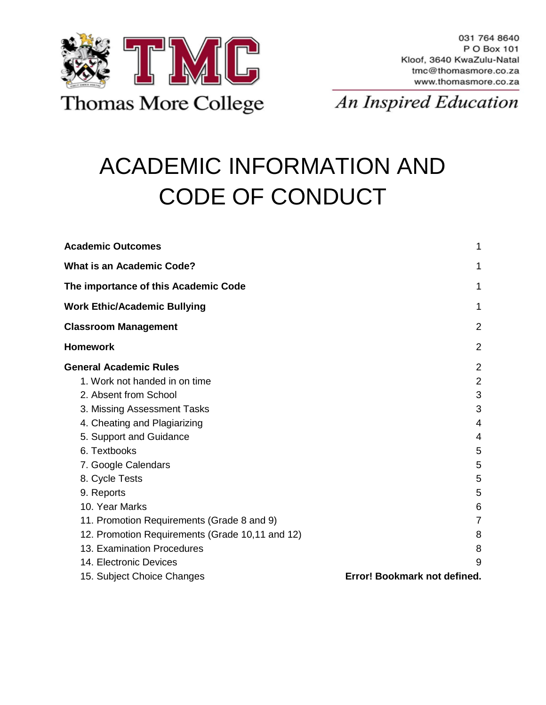

# ACADEMIC INFORMATION AND CODE OF CONDUCT

| <b>Academic Outcomes</b>                        | 1                            |
|-------------------------------------------------|------------------------------|
| <b>What is an Academic Code?</b>                | 1                            |
| The importance of this Academic Code            | 1                            |
| <b>Work Ethic/Academic Bullying</b>             | 1                            |
| <b>Classroom Management</b>                     | $\overline{2}$               |
| <b>Homework</b>                                 | 2                            |
| <b>General Academic Rules</b>                   | $\overline{2}$               |
| 1. Work not handed in on time                   | $\overline{2}$               |
| 2. Absent from School                           | 3                            |
| 3. Missing Assessment Tasks                     | 3                            |
| 4. Cheating and Plagiarizing                    | 4                            |
| 5. Support and Guidance                         | 4                            |
| 6. Textbooks                                    | 5                            |
| 7. Google Calendars                             | 5                            |
| 8. Cycle Tests                                  | 5                            |
| 9. Reports                                      | 5                            |
| 10. Year Marks                                  | 6                            |
| 11. Promotion Requirements (Grade 8 and 9)      | 7                            |
| 12. Promotion Requirements (Grade 10,11 and 12) | 8                            |
| 13. Examination Procedures                      | 8                            |
| 14. Electronic Devices                          | 9                            |
| 15. Subject Choice Changes                      | Error! Bookmark not defined. |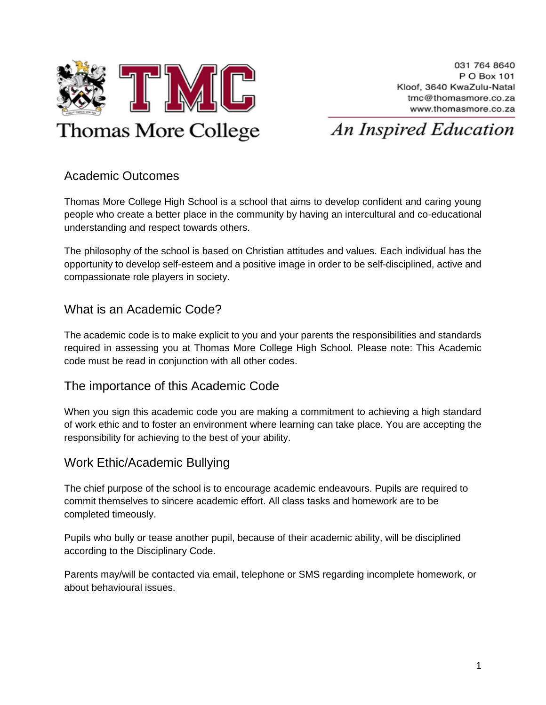

### An Inspired Education

#### <span id="page-1-0"></span>Academic Outcomes

Thomas More College High School is a school that aims to develop confident and caring young people who create a better place in the community by having an intercultural and co-educational understanding and respect towards others.

The philosophy of the school is based on Christian attitudes and values. Each individual has the opportunity to develop self-esteem and a positive image in order to be self-disciplined, active and compassionate role players in society.

#### <span id="page-1-1"></span>What is an Academic Code?

The academic code is to make explicit to you and your parents the responsibilities and standards required in assessing you at Thomas More College High School. Please note: This Academic code must be read in conjunction with all other codes.

#### <span id="page-1-2"></span>The importance of this Academic Code

When you sign this academic code you are making a commitment to achieving a high standard of work ethic and to foster an environment where learning can take place. You are accepting the responsibility for achieving to the best of your ability.

#### <span id="page-1-3"></span>Work Ethic/Academic Bullying

The chief purpose of the school is to encourage academic endeavours. Pupils are required to commit themselves to sincere academic effort. All class tasks and homework are to be completed timeously.

Pupils who bully or tease another pupil, because of their academic ability, will be disciplined according to the Disciplinary Code.

Parents may/will be contacted via email, telephone or SMS regarding incomplete homework, or about behavioural issues.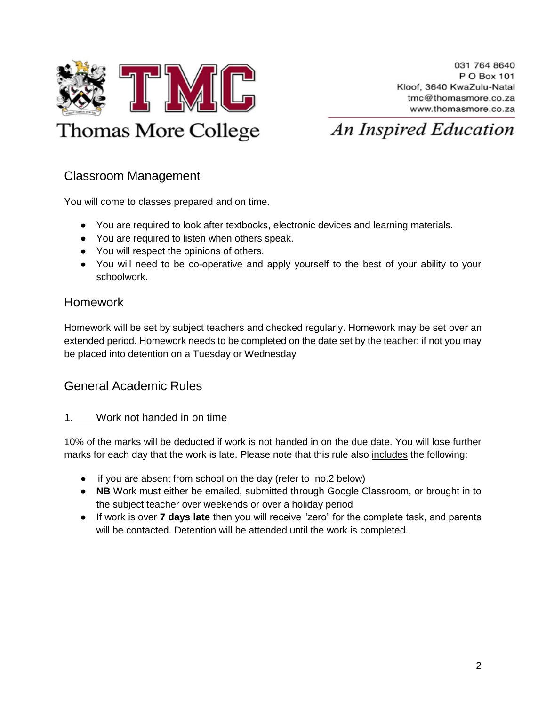

#### <span id="page-2-0"></span>Classroom Management

You will come to classes prepared and on time.

- You are required to look after textbooks, electronic devices and learning materials.
- You are required to listen when others speak.
- You will respect the opinions of others.
- You will need to be co-operative and apply yourself to the best of your ability to your schoolwork.

#### <span id="page-2-1"></span>Homework

Homework will be set by subject teachers and checked regularly. Homework may be set over an extended period. Homework needs to be completed on the date set by the teacher; if not you may be placed into detention on a Tuesday or Wednesday

#### <span id="page-2-2"></span>General Academic Rules

#### <span id="page-2-3"></span>1. Work not handed in on time

10% of the marks will be deducted if work is not handed in on the due date. You will lose further marks for each day that the work is late. Please note that this rule also includes the following:

- if you are absent from school on the day (refer to no.2 below)
- **NB** Work must either be emailed, submitted through Google Classroom, or brought in to the subject teacher over weekends or over a holiday period
- If work is over **7 days late** then you will receive "zero" for the complete task, and parents will be contacted. Detention will be attended until the work is completed.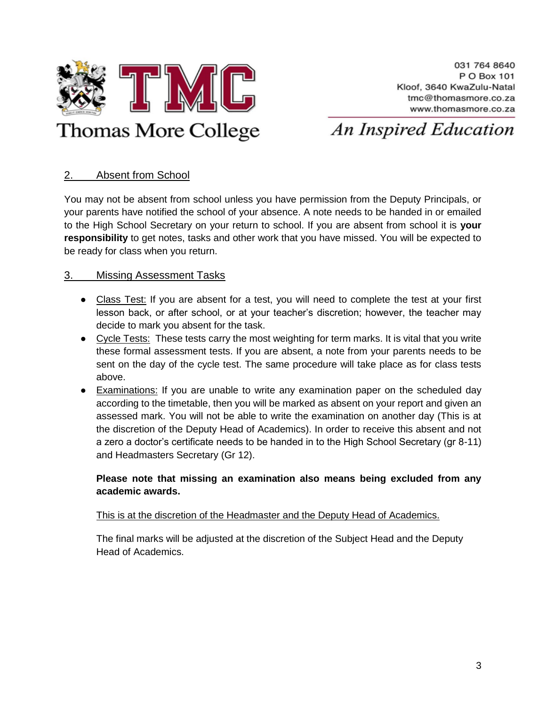

# An Inspired Education

#### <span id="page-3-0"></span>2. Absent from School

You may not be absent from school unless you have permission from the Deputy Principals, or your parents have notified the school of your absence. A note needs to be handed in or emailed to the High School Secretary on your return to school. If you are absent from school it is **your responsibility** to get notes, tasks and other work that you have missed. You will be expected to be ready for class when you return.

#### <span id="page-3-1"></span>3. Missing Assessment Tasks

- Class Test: If you are absent for a test, you will need to complete the test at your first lesson back, or after school, or at your teacher's discretion; however, the teacher may decide to mark you absent for the task.
- Cycle Tests: These tests carry the most weighting for term marks. It is vital that you write these formal assessment tests. If you are absent, a note from your parents needs to be sent on the day of the cycle test. The same procedure will take place as for class tests above.
- Examinations: If you are unable to write any examination paper on the scheduled day according to the timetable, then you will be marked as absent on your report and given an assessed mark. You will not be able to write the examination on another day (This is at the discretion of the Deputy Head of Academics). In order to receive this absent and not a zero a doctor's certificate needs to be handed in to the High School Secretary (gr 8-11) and Headmasters Secretary (Gr 12).

#### **Please note that missing an examination also means being excluded from any academic awards.**

#### This is at the discretion of the Headmaster and the Deputy Head of Academics.

The final marks will be adjusted at the discretion of the Subject Head and the Deputy Head of Academics.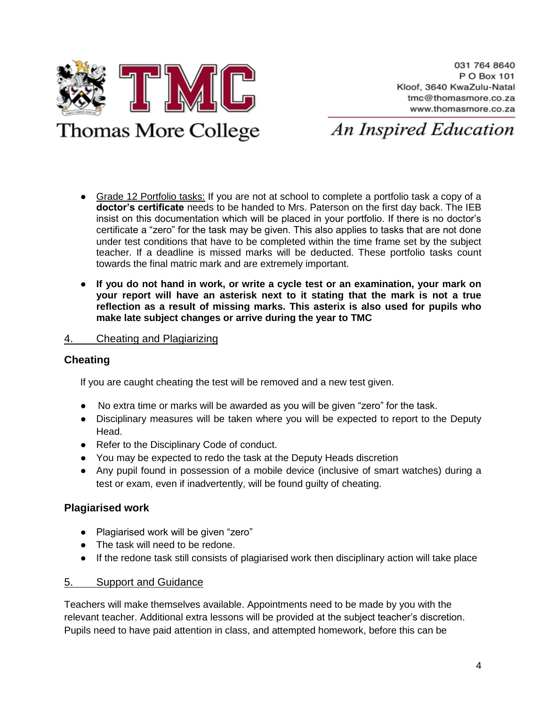

# **Thomas More College**

An Inspired Education

- Grade 12 Portfolio tasks: If you are not at school to complete a portfolio task a copy of a **doctor's certificate** needs to be handed to Mrs. Paterson on the first day back. The IEB insist on this documentation which will be placed in your portfolio. If there is no doctor's certificate a "zero" for the task may be given. This also applies to tasks that are not done under test conditions that have to be completed within the time frame set by the subject teacher. If a deadline is missed marks will be deducted. These portfolio tasks count towards the final matric mark and are extremely important.
- **If you do not hand in work, or write a cycle test or an examination, your mark on your report will have an asterisk next to it stating that the mark is not a true reflection as a result of missing marks. This asterix is also used for pupils who make late subject changes or arrive during the year to TMC**

#### <span id="page-4-0"></span>4. Cheating and Plagiarizing

#### **Cheating**

If you are caught cheating the test will be removed and a new test given.

- No extra time or marks will be awarded as you will be given "zero" for the task.
- Disciplinary measures will be taken where you will be expected to report to the Deputy Head.
- Refer to the Disciplinary Code of conduct.
- You may be expected to redo the task at the Deputy Heads discretion
- Any pupil found in possession of a mobile device (inclusive of smart watches) during a test or exam, even if inadvertently, will be found guilty of cheating.

#### **Plagiarised work**

- Plagiarised work will be given "zero"
- The task will need to be redone.
- If the redone task still consists of plagiarised work then disciplinary action will take place

#### <span id="page-4-1"></span>5. Support and Guidance

Teachers will make themselves available. Appointments need to be made by you with the relevant teacher. Additional extra lessons will be provided at the subject teacher's discretion. Pupils need to have paid attention in class, and attempted homework, before this can be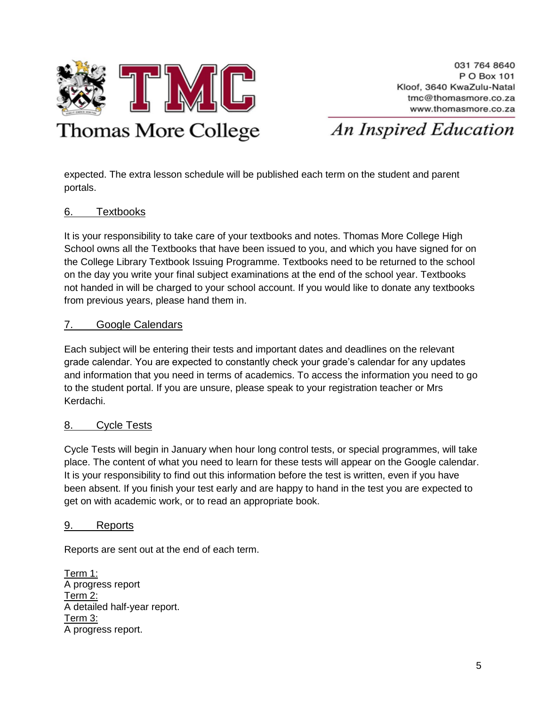

# An Inspired Education

expected. The extra lesson schedule will be published each term on the student and parent portals.

#### <span id="page-5-0"></span>6. Textbooks

It is your responsibility to take care of your textbooks and notes. Thomas More College High School owns all the Textbooks that have been issued to you, and which you have signed for on the College Library Textbook Issuing Programme. Textbooks need to be returned to the school on the day you write your final subject examinations at the end of the school year. Textbooks not handed in will be charged to your school account. If you would like to donate any textbooks from previous years, please hand them in.

#### <span id="page-5-1"></span>7. Google Calendars

Each subject will be entering their tests and important dates and deadlines on the relevant grade calendar. You are expected to constantly check your grade's calendar for any updates and information that you need in terms of academics. To access the information you need to go to the student portal. If you are unsure, please speak to your registration teacher or Mrs Kerdachi.

#### <span id="page-5-2"></span>8. Cycle Tests

Cycle Tests will begin in January when hour long control tests, or special programmes, will take place. The content of what you need to learn for these tests will appear on the Google calendar. It is your responsibility to find out this information before the test is written, even if you have been absent. If you finish your test early and are happy to hand in the test you are expected to get on with academic work, or to read an appropriate book.

#### <span id="page-5-3"></span>9. Reports

Reports are sent out at the end of each term.

Term 1: A progress report Term 2: A detailed half-year report. Term 3: A progress report.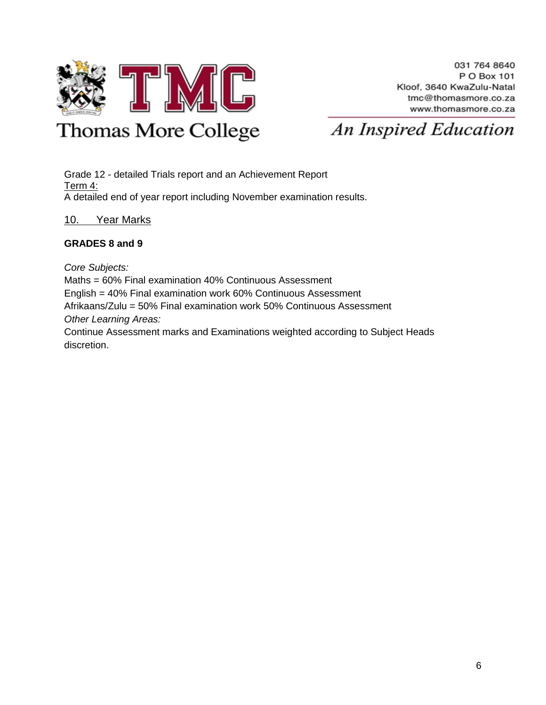

# **Thomas More College**

An Inspired Education

Grade 12 - detailed Trials report and an Achievement Report Term 4: A detailed end of year report including November examination results.

#### <span id="page-6-0"></span>10. Year Marks

#### **GRADES 8 and 9**

*Core Subjects:*

Maths = 60% Final examination 40% Continuous Assessment English = 40% Final examination work 60% Continuous Assessment Afrikaans/Zulu = 50% Final examination work 50% Continuous Assessment *Other Learning Areas:*

Continue Assessment marks and Examinations weighted according to Subject Heads discretion.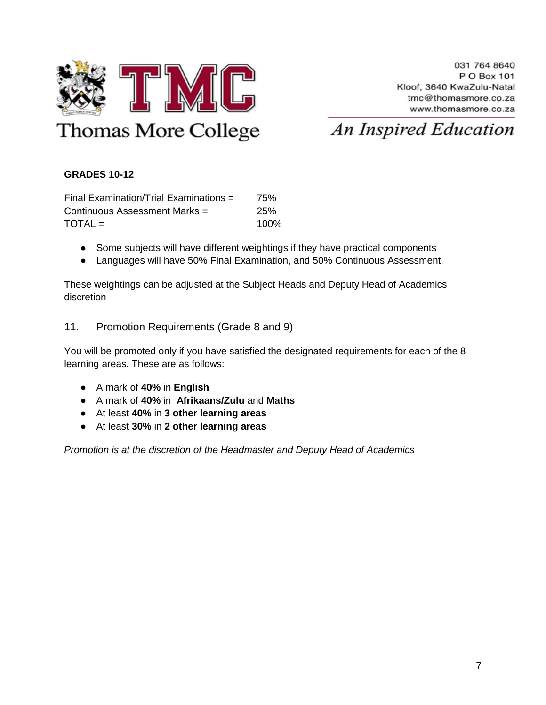

#### **GRADES 10-12**

Final Examination/Trial Examinations = 75% Continuous Assessment Marks = 25%  $\text{TOTAL} = 100\%$ 

- Some subjects will have different weightings if they have practical components
- Languages will have 50% Final Examination, and 50% Continuous Assessment.

These weightings can be adjusted at the Subject Heads and Deputy Head of Academics discretion

#### <span id="page-7-0"></span>11. Promotion Requirements (Grade 8 and 9)

You will be promoted only if you have satisfied the designated requirements for each of the 8 learning areas. These are as follows:

- A mark of **40%** in **English**
- A mark of **40%** in **Afrikaans/Zulu** and **Maths**
- At least **40%** in **3 other learning areas**
- At least **30%** in **2 other learning areas**

*Promotion is at the discretion of the Headmaster and Deputy Head of Academics*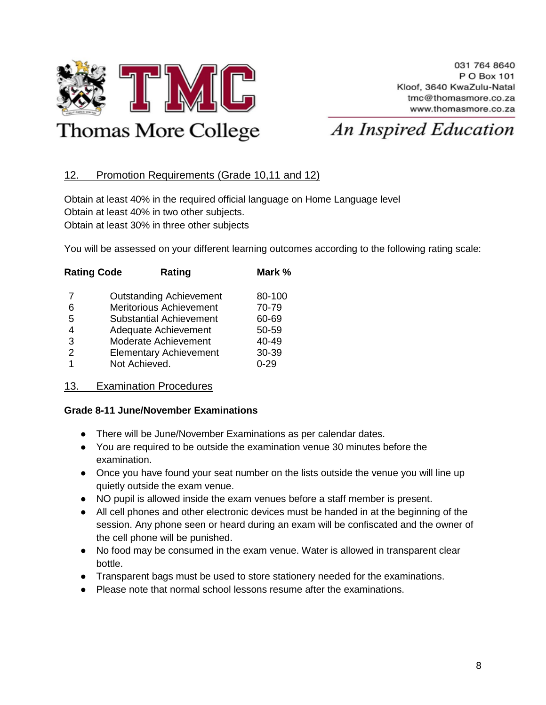

# **Thomas More College**

# An Inspired Education

#### <span id="page-8-0"></span>12. Promotion Requirements (Grade 10,11 and 12)

Obtain at least 40% in the required official language on Home Language level Obtain at least 40% in two other subjects. Obtain at least 30% in three other subjects

You will be assessed on your different learning outcomes according to the following rating scale:

| <b>Rating Code</b> | Rating                         | Mark %   |
|--------------------|--------------------------------|----------|
| 7                  | <b>Outstanding Achievement</b> | 80-100   |
| 6                  | <b>Meritorious Achievement</b> | 70-79    |
| 5                  | <b>Substantial Achievement</b> | 60-69    |
| 4                  | Adequate Achievement           | 50-59    |
| 3                  | Moderate Achievement           | 40-49    |
| 2                  | <b>Elementary Achievement</b>  | 30-39    |
|                    | Not Achieved.                  | $0 - 29$ |

#### <span id="page-8-1"></span>13. Examination Procedures

#### **Grade 8-11 June/November Examinations**

- There will be June/November Examinations as per calendar dates.
- You are required to be outside the examination venue 30 minutes before the examination.
- Once you have found your seat number on the lists outside the venue you will line up quietly outside the exam venue.
- NO pupil is allowed inside the exam venues before a staff member is present.
- All cell phones and other electronic devices must be handed in at the beginning of the session. Any phone seen or heard during an exam will be confiscated and the owner of the cell phone will be punished.
- No food may be consumed in the exam venue. Water is allowed in transparent clear bottle.
- Transparent bags must be used to store stationery needed for the examinations.
- Please note that normal school lessons resume after the examinations.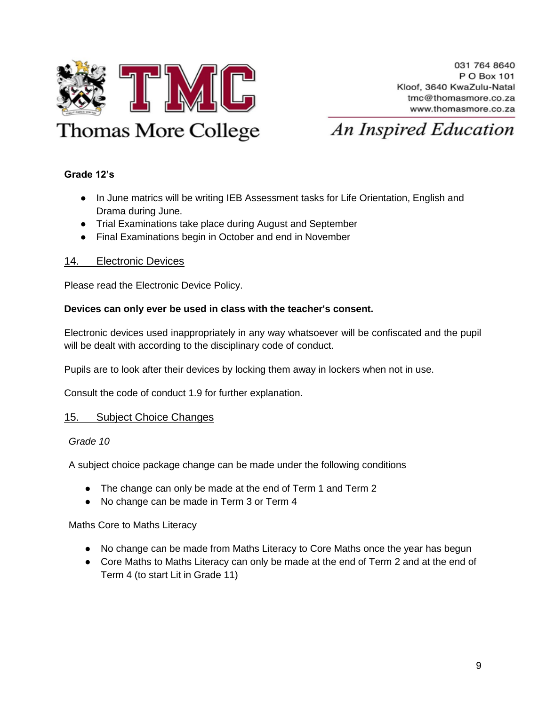

#### **Grade 12's**

- In June matrics will be writing IEB Assessment tasks for Life Orientation, English and Drama during June.
- Trial Examinations take place during August and September
- Final Examinations begin in October and end in November

#### 14. Electronic Devices

Please read the Electronic Device Policy.

#### **Devices can only ever be used in class with the teacher's consent.**

Electronic devices used inappropriately in any way whatsoever will be confiscated and the pupil will be dealt with according to the disciplinary code of conduct.

<span id="page-9-0"></span>Pupils are to look after their devices by locking them away in lockers when not in use.

Consult the code of conduct 1.9 for further explanation.

#### 15. Subject Choice Changes

#### *Grade 10*

A subject choice package change can be made under the following conditions

- The change can only be made at the end of Term 1 and Term 2
- No change can be made in Term 3 or Term 4

Maths Core to Maths Literacy

- No change can be made from Maths Literacy to Core Maths once the year has begun
- Core Maths to Maths Literacy can only be made at the end of Term 2 and at the end of Term 4 (to start Lit in Grade 11)